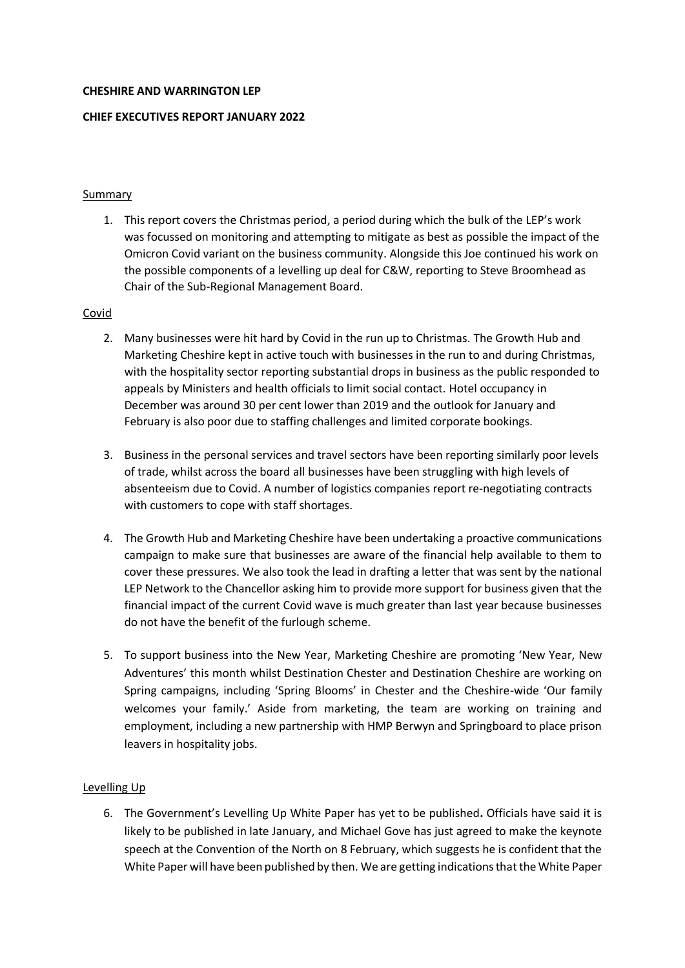#### **CHESHIRE AND WARRINGTON LEP**

## **CHIEF EXECUTIVES REPORT JANUARY 2022**

## Summary

1. This report covers the Christmas period, a period during which the bulk of the LEP's work was focussed on monitoring and attempting to mitigate as best as possible the impact of the Omicron Covid variant on the business community. Alongside this Joe continued his work on the possible components of a levelling up deal for C&W, reporting to Steve Broomhead as Chair of the Sub-Regional Management Board.

### Covid

- 2. Many businesses were hit hard by Covid in the run up to Christmas. The Growth Hub and Marketing Cheshire kept in active touch with businesses in the run to and during Christmas, with the hospitality sector reporting substantial drops in business as the public responded to appeals by Ministers and health officials to limit social contact. Hotel occupancy in December was around 30 per cent lower than 2019 and the outlook for January and February is also poor due to staffing challenges and limited corporate bookings*.*
- 3. Business in the personal services and travel sectors have been reporting similarly poor levels of trade, whilst across the board all businesses have been struggling with high levels of absenteeism due to Covid. A number of logistics companies report re-negotiating contracts with customers to cope with staff shortages.
- 4. The Growth Hub and Marketing Cheshire have been undertaking a proactive communications campaign to make sure that businesses are aware of the financial help available to them to cover these pressures. We also took the lead in drafting a letter that was sent by the national LEP Network to the Chancellor asking him to provide more support for business given that the financial impact of the current Covid wave is much greater than last year because businesses do not have the benefit of the furlough scheme.
- 5. To support business into the New Year, Marketing Cheshire are promoting 'New Year, New Adventures' this month whilst Destination Chester and Destination Cheshire are working on Spring campaigns, including 'Spring Blooms' in Chester and the Cheshire-wide 'Our family welcomes your family.' Aside from marketing, the team are working on training and employment, including a new partnership with HMP Berwyn and Springboard to place prison leavers in hospitality jobs.

### Levelling Up

6. The Government's Levelling Up White Paper has yet to be published**.** Officials have said it is likely to be published in late January, and Michael Gove has just agreed to make the keynote speech at the Convention of the North on 8 February, which suggests he is confident that the White Paper will have been published by then. We are getting indicationsthat the White Paper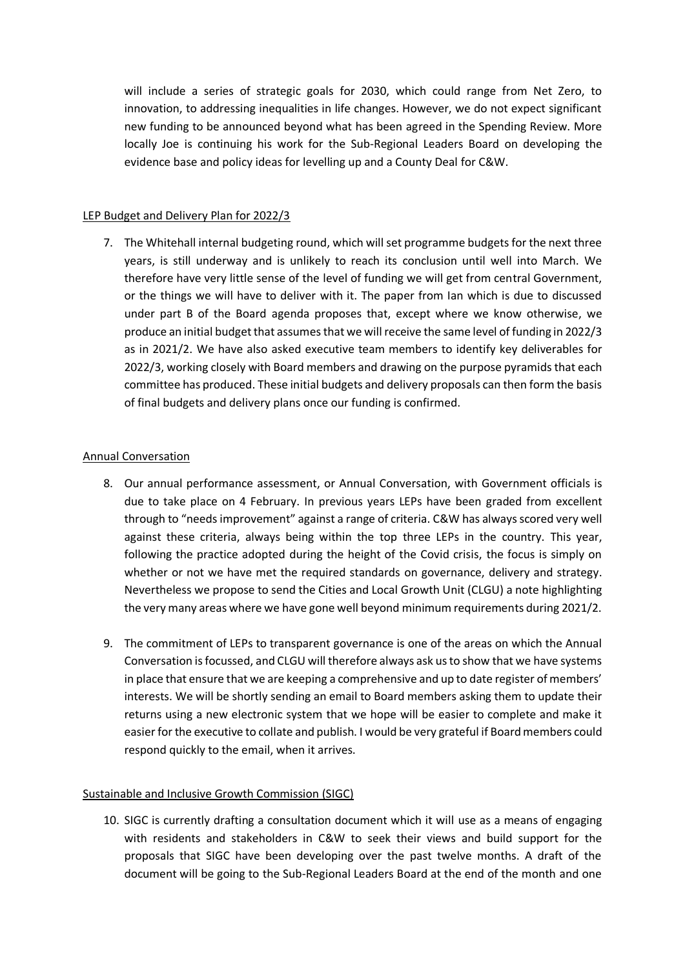will include a series of strategic goals for 2030, which could range from Net Zero, to innovation, to addressing inequalities in life changes. However, we do not expect significant new funding to be announced beyond what has been agreed in the Spending Review. More locally Joe is continuing his work for the Sub-Regional Leaders Board on developing the evidence base and policy ideas for levelling up and a County Deal for C&W.

# LEP Budget and Delivery Plan for 2022/3

7. The Whitehall internal budgeting round, which will set programme budgets for the next three years, is still underway and is unlikely to reach its conclusion until well into March. We therefore have very little sense of the level of funding we will get from central Government, or the things we will have to deliver with it. The paper from Ian which is due to discussed under part B of the Board agenda proposes that, except where we know otherwise, we produce an initial budget that assumes that we will receive the same level of funding in 2022/3 as in 2021/2. We have also asked executive team members to identify key deliverables for 2022/3, working closely with Board members and drawing on the purpose pyramids that each committee has produced. These initial budgets and delivery proposals can then form the basis of final budgets and delivery plans once our funding is confirmed.

### Annual Conversation

- 8. Our annual performance assessment, or Annual Conversation, with Government officials is due to take place on 4 February. In previous years LEPs have been graded from excellent through to "needs improvement" against a range of criteria. C&W has always scored very well against these criteria, always being within the top three LEPs in the country. This year, following the practice adopted during the height of the Covid crisis, the focus is simply on whether or not we have met the required standards on governance, delivery and strategy. Nevertheless we propose to send the Cities and Local Growth Unit (CLGU) a note highlighting the very many areas where we have gone well beyond minimum requirements during 2021/2.
- 9. The commitment of LEPs to transparent governance is one of the areas on which the Annual Conversation isfocussed, and CLGU will therefore always ask us to show that we have systems in place that ensure that we are keeping a comprehensive and up to date register of members' interests. We will be shortly sending an email to Board members asking them to update their returns using a new electronic system that we hope will be easier to complete and make it easier for the executive to collate and publish. I would be very grateful if Board members could respond quickly to the email, when it arrives.

# Sustainable and Inclusive Growth Commission (SIGC)

10. SIGC is currently drafting a consultation document which it will use as a means of engaging with residents and stakeholders in C&W to seek their views and build support for the proposals that SIGC have been developing over the past twelve months. A draft of the document will be going to the Sub-Regional Leaders Board at the end of the month and one